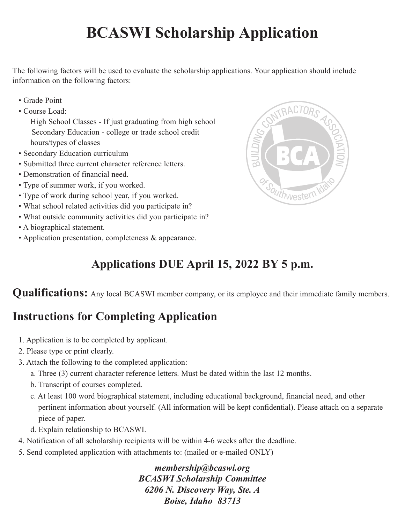## **BCASWI Scholarship Application**

The following factors will be used to evaluate the scholarship applications. Your application should include information on the following factors:

- Grade Point
- Course Load:

High School Classes - If just graduating from high school Secondary Education - college or trade school credit hours/types of classes

- Secondary Education curriculum
- Submitted three current character reference letters.
- Demonstration of financial need.
- Type of summer work, if you worked.
- Type of work during school year, if you worked.
- What school related activities did you participate in?
- What outside community activities did you participate in?
- A biographical statement.
- Application presentation, completeness & appearance.



## **Applications DUE April 15, 2022 BY 5 p.m.**

**Qualifications:** Any local BCASWI member company, or its employee and their immediate family members.

## **Instructions for Completing Application**

- 1. Application is to be completed by applicant.
- 2. Please type or print clearly.
- 3. Attach the following to the completed application:
	- a. Three (3) current character reference letters. Must be dated within the last 12 months.
	- b. Transcript of courses completed.
	- c. At least 100 word biographical statement, including educational background, financial need, and other pertinent information about yourself. (All information will be kept confidential). Please attach on a separate piece of paper.
	- d. Explain relationship to BCASWI.
- 4. Notification of all scholarship recipients will be within 4-6 weeks after the deadline.
- 5. Send completed application with attachments to: (mailed or e-mailed ONLY)

*membership@bcaswi.org BCASWI Scholarship Committee 6206 N. Discovery Way, Ste. A Boise, Idaho 83713*